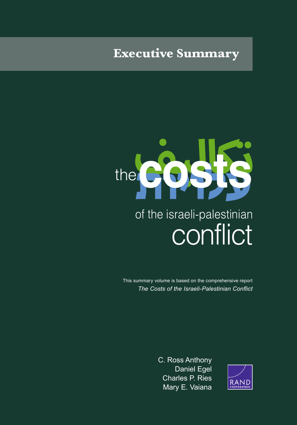**Executive Summary**



# of the israeli-palestinian conflict

This summary volume is based on the comprehensive report *The Costs of the Israeli-Palestinian Conflict*

> C. Ross Anthony Daniel Egel Charles P. Ries Mary E. Vaiana

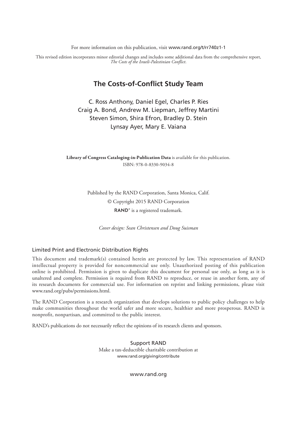For more information on this publication, visit [www.rand.org/t/rr740z1-1](http://www.rand.org/t/rr740z1-1)

This revised edition incorporates minor editorial changes and includes some additional data from the comprehensive report, *The Costs of the Israeli-Palestinian Conflict*.

#### **The Costs-of-Conflict Study Team**

C. Ross Anthony, Daniel Egel, Charles P. Ries Craig A. Bond, Andrew M. Liepman, Jeffrey Martini Steven Simon, Shira Efron, Bradley D. Stein Lynsay Ayer, Mary E. Vaiana

**Library of Congress Cataloging-in-Publication Data** is available for this publication. ISBN: 978-0-8330-9034-8

> Published by the RAND Corporation, Santa Monica, Calif. © Copyright 2015 RAND Corporation RAND<sup>®</sup> is a registered trademark.

*Cover design: Sean Christensen and Doug Suisman*

#### Limited Print and Electronic Distribution Rights

This document and trademark(s) contained herein are protected by law. This representation of RAND intellectual property is provided for noncommercial use only. Unauthorized posting of this publication online is prohibited. Permission is given to duplicate this document for personal use only, as long as it is unaltered and complete. Permission is required from RAND to reproduce, or reuse in another form, any of its research documents for commercial use. For information on reprint and linking permissions, please visit [www.rand.org/pubs/permissions.html.](http://www.rand.org/pubs/permissions.html)

The RAND Corporation is a research organization that develops solutions to public policy challenges to help make communities throughout the world safer and more secure, healthier and more prosperous. RAND is nonprofit, nonpartisan, and committed to the public interest.

RAND's publications do not necessarily reflect the opinions of its research clients and sponsors.

Support RAND Make a tax-deductible charitable contribution at [www.rand.org/giving/contribute](http://www.rand.org/giving/contribute)

[www.rand.org](http://www.rand.org)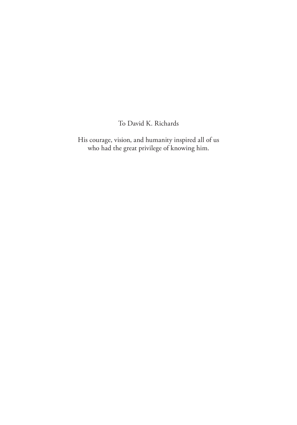To David K. Richards

His courage, vision, and humanity inspired all of us who had the great privilege of knowing him.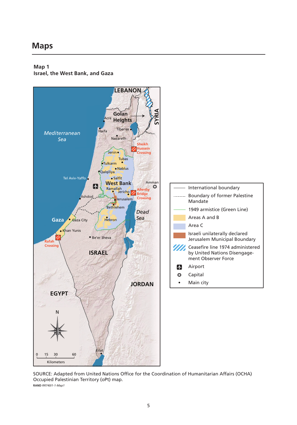# **Maps**

#### **Map 1 Israel, the West Bank, and Gaza**



SOURCE: Adapted from United Nations Office for the Coordination of Humanitarian Affairs (OCHA) Occupied Palestinian Territory (oPt) map. **RAND** *RR740/1-1-Map1*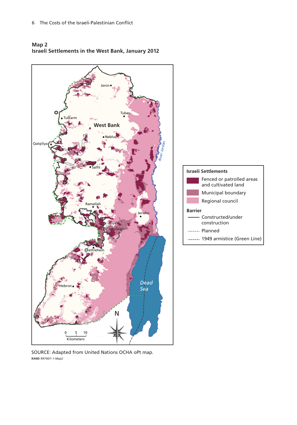

**Map 2 Israeli Settlements in the West Bank, January 2012**

SOURCE: Adapted from United Nations OCHA oPt map. **RAND** *RR740/1-1-Map2*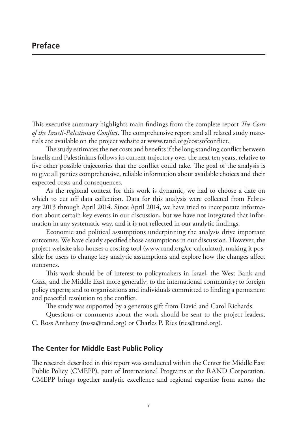This executive summary highlights main findings from the complete report *The Costs of the Israeli-Palestinian Conflict*. The comprehensive report and all related study materials are available on the project website at [www.rand.org/costsofconflict.](http://www.rand.org/costsofconflict)

The study estimates the net costs and benefits if the long-standing conflict between Israelis and Palestinians follows its current trajectory over the next ten years, relative to five other possible trajectories that the conflict could take. The goal of the analysis is to give all parties comprehensive, reliable information about available choices and their expected costs and consequences.

As the regional context for this work is dynamic, we had to choose a date on which to cut off data collection. Data for this analysis were collected from February 2013 through April 2014. Since April 2014, we have tried to incorporate information about certain key events in our discussion, but we have not integrated that information in any systematic way, and it is not reflected in our analytic findings.

Economic and political assumptions underpinning the analysis drive important outcomes. We have clearly specified those assumptions in our discussion. However, the project website also houses a costing tool [\(www.rand.org/cc-calculator\)](http://www.rand.org/cc-calculator), making it possible for users to change key analytic assumptions and explore how the changes affect outcomes.

This work should be of interest to policymakers in Israel, the West Bank and Gaza, and the Middle East more generally; to the international community; to foreign policy experts; and to organizations and individuals committed to finding a permanent and peaceful resolution to the conflict.

The study was supported by a generous gift from David and Carol Richards.

Questions or comments about the work should be sent to the project leaders, C. Ross Anthony [\(rossa@rand.org](mailto:rossa@rand.org)) or Charles P. Ries [\(ries@rand.org\)](mailto:ries@rand.org).

#### **The Center for Middle East Public Policy**

The research described in this report was conducted within the Center for Middle East Public Policy (CMEPP), part of International Programs at the RAND Corporation. CMEPP brings together analytic excellence and regional expertise from across the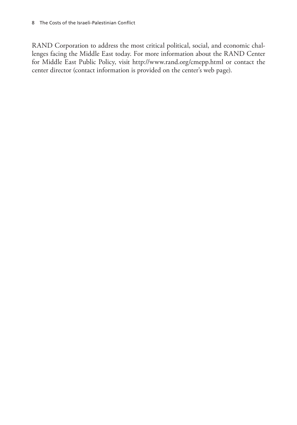RAND Corporation to address the most critical political, social, and economic challenges facing the Middle East today. For more information about the RAND Center for Middle East Public Policy, visit <http://www.rand.org/cmepp.html>or contact the center director (contact information is provided on the center's web page).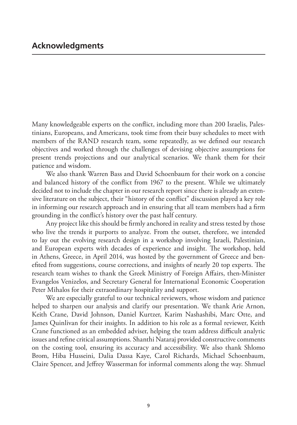Many knowledgeable experts on the conflict, including more than 200 Israelis, Palestinians, Europeans, and Americans, took time from their busy schedules to meet with members of the RAND research team, some repeatedly, as we defined our research objectives and worked through the challenges of devising objective assumptions for present trends projections and our analytical scenarios. We thank them for their patience and wisdom.

We also thank Warren Bass and David Schoenbaum for their work on a concise and balanced history of the conflict from 1967 to the present. While we ultimately decided not to include the chapter in our research report since there is already an extensive literature on the subject, their "history of the conflict" discussion played a key role in informing our research approach and in ensuring that all team members had a firm grounding in the conflict's history over the past half century.

Any project like this should be firmly anchored in reality and stress tested by those who live the trends it purports to analyze. From the outset, therefore, we intended to lay out the evolving research design in a workshop involving Israeli, Palestinian, and European experts with decades of experience and insight. The workshop, held in Athens, Greece, in April 2014, was hosted by the government of Greece and benefited from suggestions, course corrections, and insights of nearly 20 top experts. The research team wishes to thank the Greek Ministry of Foreign Affairs, then-Minister Evangelos Venizelos, and Secretary General for International Economic Cooperation Peter Mihalos for their extraordinary hospitality and support.

We are especially grateful to our technical reviewers, whose wisdom and patience helped to sharpen our analysis and clarify our presentation. We thank Arie Arnon, Keith Crane, David Johnson, Daniel Kurtzer, Karim Nashashibi, Marc Otte, and James Quinlivan for their insights. In addition to his role as a formal reviewer, Keith Crane functioned as an embedded adviser, helping the team address difficult analytic issues and refine critical assumptions. Shanthi Nataraj provided constructive comments on the costing tool, ensuring its accuracy and accessibility. We also thank Shlomo Brom, Hiba Husseini, Dalia Dassa Kaye, Carol Richards, Michael Schoenbaum, Claire Spencer, and Jeffrey Wasserman for informal comments along the way. Shmuel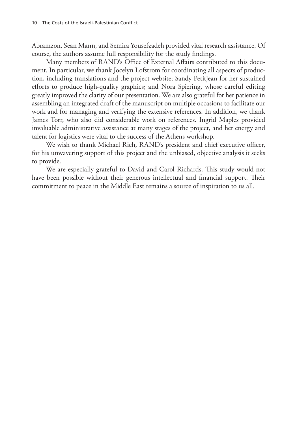Abramzon, Sean Mann, and Semira Yousefzadeh provided vital research assistance. Of course, the authors assume full responsibility for the study findings.

Many members of RAND's Office of External Affairs contributed to this document. In particular, we thank Jocelyn Lofstrom for coordinating all aspects of production, including translations and the project website; Sandy Petitjean for her sustained efforts to produce high-quality graphics; and Nora Spiering, whose careful editing greatly improved the clarity of our presentation. We are also grateful for her patience in assembling an integrated draft of the manuscript on multiple occasions to facilitate our work and for managing and verifying the extensive references. In addition, we thank James Torr, who also did considerable work on references. Ingrid Maples provided invaluable administrative assistance at many stages of the project, and her energy and talent for logistics were vital to the success of the Athens workshop.

We wish to thank Michael Rich, RAND's president and chief executive officer, for his unwavering support of this project and the unbiased, objective analysis it seeks to provide.

We are especially grateful to David and Carol Richards. This study would not have been possible without their generous intellectual and financial support. Their commitment to peace in the Middle East remains a source of inspiration to us all.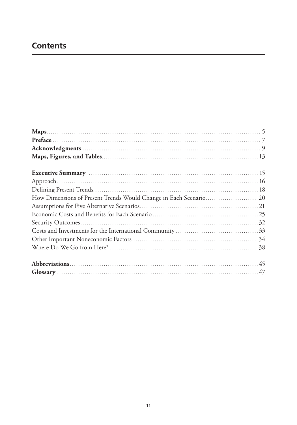# **Contents**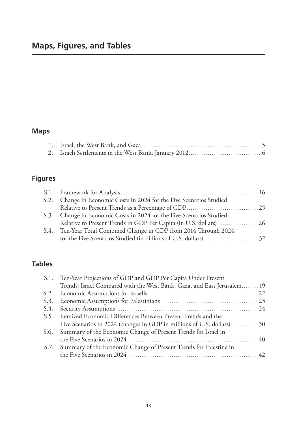## **Maps**

# **Figures**

| S.2. Change in Economic Costs in 2024 for the Five Scenarios Studied |  |
|----------------------------------------------------------------------|--|
|                                                                      |  |
| S.3. Change in Economic Costs in 2024 for the Five Scenarios Studied |  |
| Relative to Present Trends in GDP Per Capita (in U.S. dollars)  26   |  |
| S.4. Ten-Year Total Combined Change in GDP from 2014 Through 2024    |  |
|                                                                      |  |

# **Tables**

| S.1. Ten-Year Projections of GDP and GDP Per Capita Under Present       |  |
|-------------------------------------------------------------------------|--|
| Trends: Israel Compared with the West Bank, Gaza, and East Jerusalem 19 |  |
|                                                                         |  |
|                                                                         |  |
|                                                                         |  |
| S.5. Itemized Economic Differences Between Present Trends and the       |  |
| Five Scenarios in 2024 (changes in GDP in millions of U.S. dollars) 30  |  |
| S.6. Summary of the Economic Change of Present Trends for Israel in     |  |
|                                                                         |  |
| S.7. Summary of the Economic Change of Present Trends for Palestine in  |  |
|                                                                         |  |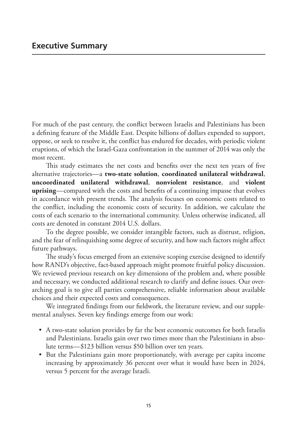For much of the past century, the conflict between Israelis and Palestinians has been a defining feature of the Middle East. Despite billions of dollars expended to support, oppose, or seek to resolve it, the conflict has endured for decades, with periodic violent eruptions, of which the Israel-Gaza confrontation in the summer of 2014 was only the most recent.

This study estimates the net costs and benefits over the next ten years of five alternative trajectories—a **two-state solution**, **coordinated unilateral withdrawal**, **uncoordinated unilateral withdrawal**, **nonviolent resistance**, and **violent uprising**—compared with the costs and benefits of a continuing impasse that evolves in accordance with present trends. The analysis focuses on economic costs related to the conflict, including the economic costs of security. In addition, we calculate the costs of each scenario to the international community. Unless otherwise indicated, all costs are denoted in constant 2014 U.S. dollars.

To the degree possible, we consider intangible factors, such as distrust, religion, and the fear of relinquishing some degree of security, and how such factors might affect future pathways.

The study's focus emerged from an extensive scoping exercise designed to identify how RAND's objective, fact-based approach might promote fruitful policy discussion. We reviewed previous research on key dimensions of the problem and, where possible and necessary, we conducted additional research to clarify and define issues. Our overarching goal is to give all parties comprehensive, reliable information about available choices and their expected costs and consequences.

We integrated findings from our fieldwork, the literature review, and our supplemental analyses. Seven key findings emerge from our work:

- A two-state solution provides by far the best economic outcomes for both Israelis and Palestinians. Israelis gain over two times more than the Palestinians in absolute terms—\$123 billion versus \$50 billion over ten years.
- But the Palestinians gain more proportionately, with average per capita income increasing by approximately 36 percent over what it would have been in 2024, versus 5 percent for the average Israeli.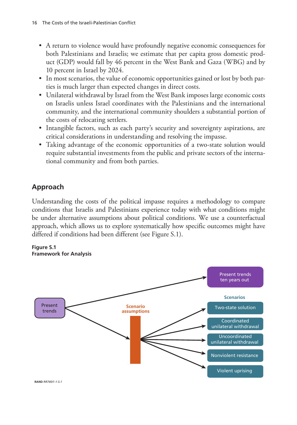- A return to violence would have profoundly negative economic consequences for both Palestinians and Israelis; we estimate that per capita gross domestic product (GDP) would fall by 46 percent in the West Bank and Gaza (WBG) and by 10 percent in Israel by 2024.
- In most scenarios, the value of economic opportunities gained or lost by both parties is much larger than expected changes in direct costs.
- Unilateral withdrawal by Israel from the West Bank imposes large economic costs on Israelis unless Israel coordinates with the Palestinians and the international community, and the international community shoulders a substantial portion of the costs of relocating settlers.
- Intangible factors, such as each party's security and sovereignty aspirations, are critical considerations in understanding and resolving the impasse.
- Taking advantage of the economic opportunities of a two-state solution would require substantial investments from the public and private sectors of the international community and from both parties.

# **Approach**

Understanding the costs of the political impasse requires a methodology to compare conditions that Israelis and Palestinians experience today with what conditions might be under alternative assumptions about political conditions. We use a counterfactual approach, which allows us to explore systematically how specific outcomes might have differed if conditions had been different (see Figure S.1).



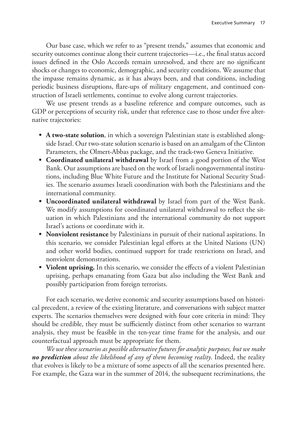Our base case, which we refer to as "present trends," assumes that economic and security outcomes continue along their current trajectories—i.e., the final status accord issues defined in the Oslo Accords remain unresolved, and there are no significant shocks or changes to economic, demographic, and security conditions. We assume that the impasse remains dynamic, as it has always been, and that conditions, including periodic business disruptions, flare-ups of military engagement, and continued construction of Israeli settlements, continue to evolve along current trajectories.

We use present trends as a baseline reference and compare outcomes, such as GDP or perceptions of security risk, under that reference case to those under five alternative trajectories:

- **• A two-state solution**, in which a sovereign Palestinian state is established alongside Israel. Our two-state solution scenario is based on an amalgam of the Clinton Parameters, the Olmert-Abbas package, and the track-two Geneva Initiative.
- **• Coordinated unilateral withdrawal** by Israel from a good portion of the West Bank. Our assumptions are based on the work of Israeli nongovernmental institutions, including Blue White Future and the Institute for National Security Studies. The scenario assumes Israeli coordination with both the Palestinians and the international community.
- **• Uncoordinated unilateral withdrawal** by Israel from part of the West Bank. We modify assumptions for coordinated unilateral withdrawal to reflect the situation in which Palestinians and the international community do not support Israel's actions or coordinate with it.
- **• Nonviolent resistance** by Palestinians in pursuit of their national aspirations. In this scenario, we consider Palestinian legal efforts at the United Nations (UN) and other world bodies, continued support for trade restrictions on Israel, and nonviolent demonstrations.
- **• Violent uprising.** In this scenario, we consider the effects of a violent Palestinian uprising, perhaps emanating from Gaza but also including the West Bank and possibly participation from foreign terrorists.

For each scenario, we derive economic and security assumptions based on historical precedent, a review of the existing literature, and conversations with subject matter experts. The scenarios themselves were designed with four core criteria in mind: They should be credible, they must be sufficiently distinct from other scenarios to warrant analysis, they must be feasible in the ten-year time frame for the analysis, and our counterfactual approach must be appropriate for them.

*We use these scenarios as possible alternative futures for analytic purposes, but we make no prediction about the likelihood of any of them becoming reality*. Indeed, the reality that evolves is likely to be a mixture of some aspects of all the scenarios presented here. For example, the Gaza war in the summer of 2014, the subsequent recriminations, the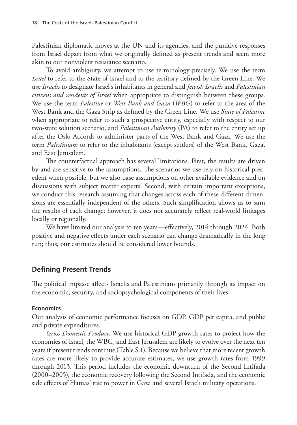Palestinian diplomatic moves at the UN and its agencies, and the punitive responses from Israel depart from what we originally defined as present trends and seem more akin to our nonviolent resistance scenario.

To avoid ambiguity, we attempt to use terminology precisely. We use the term *Israel* to refer to the State of Israel and to the territory defined by the Green Line. We use *Israelis* to designate Israel's inhabitants in general and *Jewish Israelis* and *Palestinian citizens and residents of Israel* when appropriate to distinguish between these groups. We use the term *Palestine* or *West Bank and Gaza* (*WBG*) to refer to the area of the West Bank and the Gaza Strip as defined by the Green Line. We use *State of Palestine* when appropriate to refer to such a prospective entity, especially with respect to our two-state solution scenario, and *Palestinian Authority* (PA) to refer to the entity set up after the Oslo Accords to administer parts of the West Bank and Gaza. We use the term *Palestinians* to refer to the inhabitants (except settlers) of the West Bank, Gaza, and East Jerusalem.

The counterfactual approach has several limitations. First, the results are driven by and are sensitive to the assumptions. The scenarios we use rely on historical precedent when possible, but we also base assumptions on other available evidence and on discussions with subject matter experts. Second, with certain important exceptions, we conduct this research assuming that changes across each of these different dimensions are essentially independent of the others. Such simplification allows us to sum the results of each change; however, it does not accurately reflect real-world linkages locally or regionally.

We have limited our analysis to ten years—effectively, 2014 through 2024. Both positive and negative effects under each scenario can change dramatically in the long run; thus, our estimates should be considered lower bounds.

#### **Defining Present Trends**

The political impasse affects Israelis and Palestinians primarily through its impact on the economic, security, and sociopsychological components of their lives.

#### **Economics**

Our analysis of economic performance focuses on GDP, GDP per capita, and public and private expenditures.

*Gross Domestic Product.* We use historical GDP growth rates to project how the economies of Israel, the WBG, and East Jerusalem are likely to evolve over the next ten years if present trends continue (Table S.1). Because we believe that more recent growth rates are more likely to provide accurate estimates, we use growth rates from 1999 through 2013. This period includes the economic downturn of the Second Intifada (2000–2005), the economic recovery following the Second Intifada, and the economic side effects of Hamas' rise to power in Gaza and several Israeli military operations.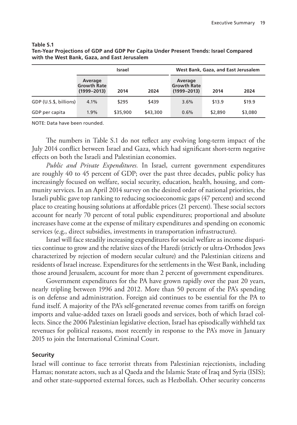#### **Table S.1**

|                        |                                                  | <b>Israel</b> |          | West Bank, Gaza, and East Jerusalem              |         |         |  |
|------------------------|--------------------------------------------------|---------------|----------|--------------------------------------------------|---------|---------|--|
|                        | Average<br><b>Growth Rate</b><br>$(1999 - 2013)$ | 2014          | 2024     | Average<br><b>Growth Rate</b><br>$(1999 - 2013)$ | 2014    | 2024    |  |
| GDP (U.S.\$, billions) | 4.1%                                             | \$295         | \$439    | 3.6%                                             | \$13.9  | \$19.9  |  |
| GDP per capita         | 1.9%                                             | \$35,900      | \$43,300 | 0.6%                                             | \$2,890 | \$3,080 |  |

**Ten-Year Projections of GDP and GDP Per Capita Under Present Trends: Israel Compared with the West Bank, Gaza, and East Jerusalem**

NOTE: Data have been rounded.

The numbers in Table S.1 do not reflect any evolving long-term impact of the July 2014 conflict between Israel and Gaza, which had significant short-term negative effects on both the Israeli and Palestinian economies.

*Public and Private Expenditures.* In Israel, current government expenditures are roughly 40 to 45 percent of GDP; over the past three decades, public policy has increasingly focused on welfare, social security, education, health, housing, and community services. In an April 2014 survey on the desired order of national priorities, the Israeli public gave top ranking to reducing socioeconomic gaps (47 percent) and second place to creating housing solutions at affordable prices (21 percent). These social sectors account for nearly 70 percent of total public expenditures; proportional and absolute increases have come at the expense of military expenditures and spending on economic services (e.g., direct subsidies, investments in transportation infrastructure).

Israel will face steadily increasing expenditures for social welfare as income disparities continue to grow and the relative sizes of the Haredi (strictly or ultra-Orthodox Jews characterized by rejection of modern secular culture) and the Palestinian citizens and residents of Israel increase. Expenditures for the settlements in the West Bank, including those around Jerusalem, account for more than 2 percent of government expenditures.

Government expenditures for the PA have grown rapidly over the past 20 years, nearly tripling between 1996 and 2012. More than 50 percent of the PA's spending is on defense and administration. Foreign aid continues to be essential for the PA to fund itself. A majority of the PA's self-generated revenue comes from tariffs on foreign imports and value-added taxes on Israeli goods and services, both of which Israel collects. Since the 2006 Palestinian legislative election, Israel has episodically withheld tax revenues for political reasons, most recently in response to the PA's move in January 2015 to join the International Criminal Court.

#### **Security**

Israel will continue to face terrorist threats from Palestinian rejectionists, including Hamas; nonstate actors, such as al Qaeda and the Islamic State of Iraq and Syria (ISIS); and other state-supported external forces, such as Hezbollah. Other security concerns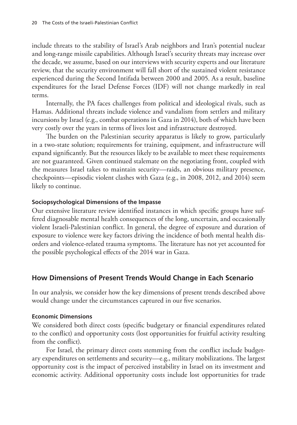include threats to the stability of Israel's Arab neighbors and Iran's potential nuclear and long-range missile capabilities. Although Israel's security threats may increase over the decade, we assume, based on our interviews with security experts and our literature review, that the security environment will fall short of the sustained violent resistance experienced during the Second Intifada between 2000 and 2005. As a result, baseline expenditures for the Israel Defense Forces (IDF) will not change markedly in real terms.

Internally, the PA faces challenges from political and ideological rivals, such as Hamas. Additional threats include violence and vandalism from settlers and military incursions by Israel (e.g., combat operations in Gaza in 2014), both of which have been very costly over the years in terms of lives lost and infrastructure destroyed.

The burden on the Palestinian security apparatus is likely to grow, particularly in a two-state solution; requirements for training, equipment, and infrastructure will expand significantly. But the resources likely to be available to meet these requirements are not guaranteed. Given continued stalemate on the negotiating front, coupled with the measures Israel takes to maintain security—raids, an obvious military presence, checkpoints—episodic violent clashes with Gaza (e.g., in 2008, 2012, and 2014) seem likely to continue.

#### **Sociopsychological Dimensions of the Impasse**

Our extensive literature review identified instances in which specific groups have suffered diagnosable mental health consequences of the long, uncertain, and occasionally violent Israeli-Palestinian conflict. In general, the degree of exposure and duration of exposure to violence were key factors driving the incidence of both mental health disorders and violence-related trauma symptoms. The literature has not yet accounted for the possible psychological effects of the 2014 war in Gaza.

### **How Dimensions of Present Trends Would Change in Each Scenario**

In our analysis, we consider how the key dimensions of present trends described above would change under the circumstances captured in our five scenarios.

#### **Economic Dimensions**

We considered both direct costs (specific budgetary or financial expenditures related to the conflict) and opportunity costs (lost opportunities for fruitful activity resulting from the conflict).

For Israel, the primary direct costs stemming from the conflict include budgetary expenditures on settlements and security—e.g., military mobilizations. The largest opportunity cost is the impact of perceived instability in Israel on its investment and economic activity. Additional opportunity costs include lost opportunities for trade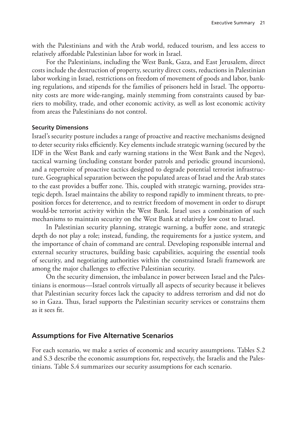with the Palestinians and with the Arab world, reduced tourism, and less access to relatively affordable Palestinian labor for work in Israel.

For the Palestinians, including the West Bank, Gaza, and East Jerusalem, direct costs include the destruction of property, security direct costs, reductions in Palestinian labor working in Israel, restrictions on freedom of movement of goods and labor, banking regulations, and stipends for the families of prisoners held in Israel. The opportunity costs are more wide-ranging, mainly stemming from constraints caused by barriers to mobility, trade, and other economic activity, as well as lost economic activity from areas the Palestinians do not control.

#### **Security Dimensions**

Israel's security posture includes a range of proactive and reactive mechanisms designed to deter security risks efficiently. Key elements include strategic warning (secured by the IDF in the West Bank and early warning stations in the West Bank and the Negev), tactical warning (including constant border patrols and periodic ground incursions), and a repertoire of proactive tactics designed to degrade potential terrorist infrastructure. Geographical separation between the populated areas of Israel and the Arab states to the east provides a buffer zone. This, coupled with strategic warning, provides strategic depth. Israel maintains the ability to respond rapidly to imminent threats, to preposition forces for deterrence, and to restrict freedom of movement in order to disrupt would-be terrorist activity within the West Bank. Israel uses a combination of such mechanisms to maintain security on the West Bank at relatively low cost to Israel.

In Palestinian security planning, strategic warning, a buffer zone, and strategic depth do not play a role; instead, funding, the requirements for a justice system, and the importance of chain of command are central. Developing responsible internal and external security structures, building basic capabilities, acquiring the essential tools of security, and negotiating authorities within the constrained Israeli framework are among the major challenges to effective Palestinian security.

On the security dimension, the imbalance in power between Israel and the Palestinians is enormous—Israel controls virtually all aspects of security because it believes that Palestinian security forces lack the capacity to address terrorism and did not do so in Gaza. Thus, Israel supports the Palestinian security services or constrains them as it sees fit.

#### **Assumptions for Five Alternative Scenarios**

For each scenario, we make a series of economic and security assumptions. Tables S.2 and S.3 describe the economic assumptions for, respectively, the Israelis and the Palestinians. Table S.4 summarizes our security assumptions for each scenario.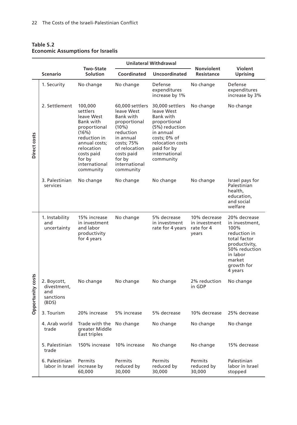|                   | <b>Unilateral Withdrawal</b>                            |                                                                                                                                                                              |                                                                                                                                                                                       |                                                                                                                                                                            |                                                      |                                                                                                                                                         |
|-------------------|---------------------------------------------------------|------------------------------------------------------------------------------------------------------------------------------------------------------------------------------|---------------------------------------------------------------------------------------------------------------------------------------------------------------------------------------|----------------------------------------------------------------------------------------------------------------------------------------------------------------------------|------------------------------------------------------|---------------------------------------------------------------------------------------------------------------------------------------------------------|
| <b>Scenario</b>   |                                                         | <b>Two-State</b><br><b>Solution</b>                                                                                                                                          | Coordinated                                                                                                                                                                           | Uncoordinated                                                                                                                                                              | <b>Nonviolent</b><br><b>Resistance</b>               | Violent<br><b>Uprising</b>                                                                                                                              |
|                   | 1. Security                                             | No change                                                                                                                                                                    | No change                                                                                                                                                                             | Defense<br>expenditures<br>increase by 1%                                                                                                                                  | No change                                            | Defense<br>expenditures<br>increase by 3%                                                                                                               |
| Direct costs      | 2. Settlement                                           | 100,000<br>settlers<br>leave West<br>Bank with<br>proportional<br>(16%)<br>reduction in<br>annual costs:<br>relocation<br>costs paid<br>for by<br>international<br>community | 60,000 settlers<br>leave West<br>Bank with<br>proportional<br>$(10\%)$<br>reduction<br>in annual<br>costs; 75%<br>of relocation<br>costs paid<br>for by<br>international<br>community | 30,000 settlers<br>leave West<br>Bank with<br>proportional<br>(5%) reduction<br>in annual<br>costs; 0% of<br>relocation costs<br>paid for by<br>international<br>community | No change                                            | No change                                                                                                                                               |
|                   | 3. Palestinian<br>services                              | No change                                                                                                                                                                    | No change                                                                                                                                                                             | No change                                                                                                                                                                  | No change                                            | Israel pays for<br>Palestinian<br>health,<br>education,<br>and social<br>welfare                                                                        |
|                   | 1. Instability<br>and<br>uncertainty                    | 15% increase<br>in investment<br>and labor<br>productivity<br>for 4 years                                                                                                    | No change                                                                                                                                                                             | 5% decrease<br>in investment<br>rate for 4 years                                                                                                                           | 10% decrease<br>in investment<br>rate for 4<br>years | 20% decrease<br>in investment,<br>100%<br>reduction in<br>total factor<br>productivity,<br>50% reduction<br>in labor<br>market<br>growth for<br>4 years |
| Opportunity costs | 2. Boycott,<br>divestment,<br>and<br>sanctions<br>(BDS) | No change                                                                                                                                                                    | No change                                                                                                                                                                             | No change                                                                                                                                                                  | 2% reduction<br>in GDP                               | No change                                                                                                                                               |
|                   | 3. Tourism                                              | 20% increase                                                                                                                                                                 | 5% increase                                                                                                                                                                           | 5% decrease                                                                                                                                                                | 10% decrease                                         | 25% decrease                                                                                                                                            |
|                   | 4. Arab world<br>trade                                  | Trade with the No change<br>greater Middle<br>East triples                                                                                                                   |                                                                                                                                                                                       | No change                                                                                                                                                                  | No change                                            | No change                                                                                                                                               |
|                   | 5. Palestinian<br>trade                                 | 150% increase                                                                                                                                                                | 10% increase                                                                                                                                                                          | No change                                                                                                                                                                  | No change                                            | 15% decrease                                                                                                                                            |
|                   | 6. Palestinian<br>labor in Israel increase by           | Permits<br>60,000                                                                                                                                                            | Permits<br>reduced by<br>30,000                                                                                                                                                       | Permits<br>reduced by<br>30,000                                                                                                                                            | Permits<br>reduced by<br>30,000                      | Palestinian<br>labor in Israel<br>stopped                                                                                                               |

#### **Table S.2 Economic Assumptions for Israelis**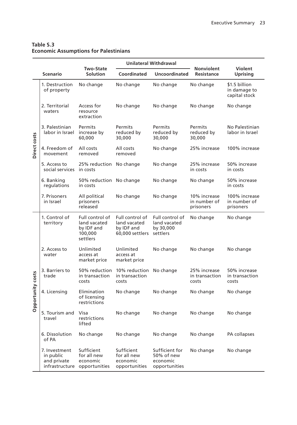| Table S.3                                    |  |
|----------------------------------------------|--|
| <b>Economic Assumptions for Palestinians</b> |  |

|                   |                                                                                                    |                                                        |                                                                  | <b>Unilateral Withdrawal</b>                              |                                           |                                                |
|-------------------|----------------------------------------------------------------------------------------------------|--------------------------------------------------------|------------------------------------------------------------------|-----------------------------------------------------------|-------------------------------------------|------------------------------------------------|
|                   | <b>Scenario</b>                                                                                    | <b>Two-State</b><br><b>Solution</b>                    | Coordinated                                                      | <b>Uncoordinated</b>                                      | Nonviolent<br><b>Resistance</b>           | Violent<br><b>Uprising</b>                     |
|                   | 1. Destruction<br>of property                                                                      | No change                                              | No change                                                        | No change                                                 | No change                                 | \$1.5 billion<br>in damage to<br>capital stock |
|                   | 2. Territorial<br>waters                                                                           | Access for<br>resource<br>extraction                   | No change                                                        | No change                                                 | No change                                 | No change                                      |
|                   | 3. Palestinian<br>labor in Israel                                                                  | Permits<br>increase by<br>60,000                       | Permits<br>reduced by<br>30,000                                  | Permits<br>reduced by<br>30,000                           | Permits<br>reduced by<br>30,000           | No Palestinian<br>labor in Israel              |
| Direct costs      | 4. Freedom of<br>movement                                                                          | All costs<br>removed                                   | All costs<br>removed                                             | No change                                                 | 25% increase                              | 100% increase                                  |
|                   | 5. Access to<br>social services                                                                    | 25% reduction<br>in costs                              | No change                                                        | No change                                                 | 25% increase<br>in costs                  | 50% increase<br>in costs                       |
|                   | 6. Banking<br>regulations                                                                          | 50% reduction No change<br>in costs                    |                                                                  | No change                                                 | No change                                 | 50% increase<br>in costs                       |
|                   | 7. Prisoners<br>in Israel                                                                          | All political<br>prisoners<br>released                 | No change                                                        | No change                                                 | 10% increase<br>in number of<br>prisoners | 100% increase<br>in number of<br>prisoners     |
|                   | 1. Control of<br>Full control of<br>territory<br>land vacated<br>by IDF and<br>100,000<br>settlers |                                                        | Full control of<br>land vacated<br>by IDF and<br>60,000 settlers | Full control of<br>land vacated<br>by 30,000<br>settlers  | No change                                 | No change                                      |
|                   | 2. Access to<br>water                                                                              | Unlimited<br>access at<br>market price                 | Unlimited<br>access at<br>market price                           | No change                                                 | No change                                 | No change                                      |
|                   | 3. Barriers to<br>trade                                                                            | 50% reduction<br>in transaction<br>costs               | 10% reduction<br>in transaction<br>costs                         | No change                                                 | 25% increase<br>in transaction<br>costs   | 50% increase<br>in transaction<br>costs        |
| Opportunity costs | 4. Licensing                                                                                       | Elimination<br>of licensing<br>restrictions            | No change                                                        | No change                                                 | No change                                 | No change                                      |
|                   | 5. Tourism and<br>travel                                                                           | Visa<br>restrictions<br>lifted                         | No change                                                        | No change                                                 | No change                                 | No change                                      |
|                   | 6. Dissolution<br>of PA                                                                            | No change                                              | No change                                                        | No change                                                 | No change                                 | PA collapses                                   |
|                   | 7. Investment<br>in public<br>and private<br>infrastructure                                        | Sufficient<br>for all new<br>economic<br>opportunities | Sufficient<br>for all new<br>economic<br>opportunities           | Sufficient for<br>50% of new<br>economic<br>opportunities | No change                                 | No change                                      |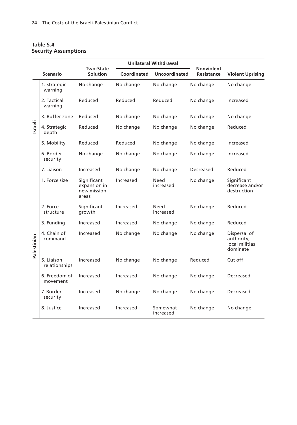|                |                                                                      |                                     |             | <b>Unilateral Withdrawal</b> |                                 |                                                          |
|----------------|----------------------------------------------------------------------|-------------------------------------|-------------|------------------------------|---------------------------------|----------------------------------------------------------|
|                | Scenario                                                             | <b>Two-State</b><br><b>Solution</b> | Coordinated | Uncoordinated                | <b>Nonviolent</b><br>Resistance | <b>Violent Uprising</b>                                  |
|                | 1. Strategic<br>warning                                              | No change                           | No change   | No change                    | No change                       | No change                                                |
|                | 2. Tactical<br>warning                                               | Reduced                             | Reduced     | Reduced                      | No change                       | Increased                                                |
|                | 3. Buffer zone                                                       | Reduced                             | No change   | No change                    | No change                       | No change                                                |
| <b>Israeli</b> | 4. Strategic<br>depth                                                | Reduced                             | No change   | No change                    | No change                       | Reduced                                                  |
|                | 5. Mobility                                                          | Reduced                             | Reduced     | No change                    | No change                       | Increased                                                |
|                | 6. Border<br>security                                                | No change                           | No change   | No change                    | No change                       | Increased                                                |
|                | 7. Liaison                                                           | Increased                           | No change   | No change                    | Decreased                       | Reduced                                                  |
|                | 1. Force size<br>Significant<br>expansion in<br>new mission<br>areas |                                     | Increased   | Need<br>increased            | No change                       | Significant<br>decrease and/or<br>destruction            |
|                | 2. Force<br>Significant<br>Increased<br>growth<br>structure          |                                     |             | Need<br>increased            | No change                       | Reduced                                                  |
|                | 3. Funding                                                           | Increased                           | Increased   | No change                    | No change                       | Reduced                                                  |
| Palestinian    | 4. Chain of<br>Increased<br>command                                  |                                     | No change   | No change                    | No change                       | Dispersal of<br>authority;<br>local militias<br>dominate |
|                | 5. Liaison<br>relationships                                          | Increased                           | No change   | No change                    | Reduced                         | Cut off                                                  |
|                | 6. Freedom of<br>movement                                            | Increased                           | Increased   | No change                    | No change                       | Decreased                                                |
|                | 7. Border<br>security                                                | Increased                           | No change   | No change                    | No change                       | Decreased                                                |
|                | 8. Justice                                                           | Increased                           | Increased   | Somewhat<br>increased        | No change                       | No change                                                |

#### **Table S.4 Security Assumptions**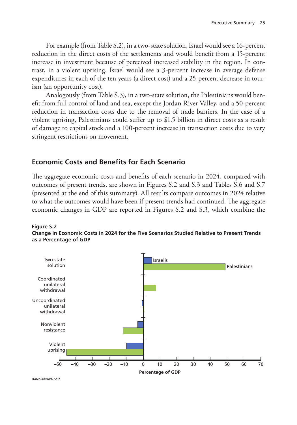For example (from Table S.2), in a two-state solution, Israel would see a 16-percent reduction in the direct costs of the settlements and would benefit from a 15-percent increase in investment because of perceived increased stability in the region. In contrast, in a violent uprising, Israel would see a 3-percent increase in average defense expenditures in each of the ten years (a direct cost) and a 25-percent decrease in tourism (an opportunity cost).

Analogously (from Table S.3), in a two-state solution, the Palestinians would benefit from full control of land and sea, except the Jordan River Valley, and a 50-percent reduction in transaction costs due to the removal of trade barriers. In the case of a violent uprising, Palestinians could suffer up to \$1.5 billion in direct costs as a result of damage to capital stock and a 100-percent increase in transaction costs due to very stringent restrictions on movement.

#### **Economic Costs and Benefits for Each Scenario**

The aggregate economic costs and benefits of each scenario in 2024, compared with outcomes of present trends, are shown in Figures S.2 and S.3 and Tables S.6 and S.7 (presented at the end of this summary). All results compare outcomes in 2024 relative to what the outcomes would have been if present trends had continued. The aggregate economic changes in GDP are reported in Figures S.2 and S.3, which combine the

#### **Figure S.2 Change in Economic Costs in 2024 for the Five Scenarios Studied Relative to Present Trends as a Percentage of GDP**



**RAND** *RR740/1-1-S.2*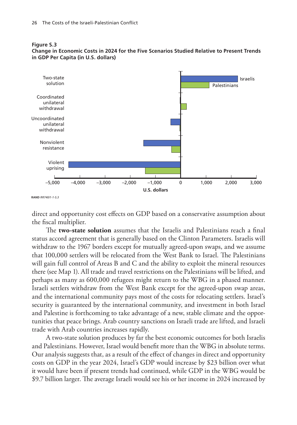

#### **Figure S.3**



direct and opportunity cost effects on GDP based on a conservative assumption about the fiscal multiplier.

The **two-state solution** assumes that the Israelis and Palestinians reach a final status accord agreement that is generally based on the Clinton Parameters. Israelis will withdraw to the 1967 borders except for mutually agreed-upon swaps, and we assume that 100,000 settlers will be relocated from the West Bank to Israel. The Palestinians will gain full control of Areas B and C and the ability to exploit the mineral resources there (see Map 1). All trade and travel restrictions on the Palestinians will be lifted, and perhaps as many as 600,000 refugees might return to the WBG in a phased manner. Israeli settlers withdraw from the West Bank except for the agreed-upon swap areas, and the international community pays most of the costs for relocating settlers. Israel's security is guaranteed by the international community, and investment in both Israel and Palestine is forthcoming to take advantage of a new, stable climate and the opportunities that peace brings. Arab country sanctions on Israeli trade are lifted, and Israeli trade with Arab countries increases rapidly.

A two-state solution produces by far the best economic outcomes for both Israelis and Palestinians. However, Israel would benefit more than the WBG in absolute terms. Our analysis suggests that, as a result of the effect of changes in direct and opportunity costs on GDP in the year 2024, Israel's GDP would increase by \$23 billion over what it would have been if present trends had continued, while GDP in the WBG would be \$9.7 billion larger. The average Israeli would see his or her income in 2024 increased by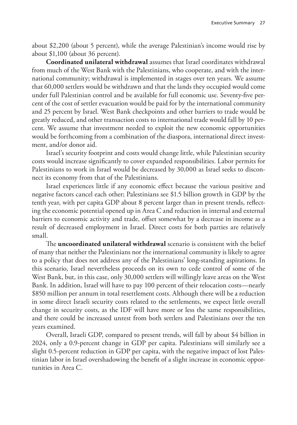about \$2,200 (about 5 percent), while the average Palestinian's income would rise by about \$1,100 (about 36 percent).

**Coordinated unilateral withdrawal** assumes that Israel coordinates withdrawal from much of the West Bank with the Palestinians, who cooperate, and with the international community; withdrawal is implemented in stages over ten years. We assume that 60,000 settlers would be withdrawn and that the lands they occupied would come under full Palestinian control and be available for full economic use. Seventy-five percent of the cost of settler evacuation would be paid for by the international community and 25 percent by Israel. West Bank checkpoints and other barriers to trade would be greatly reduced, and other transaction costs to international trade would fall by 10 percent. We assume that investment needed to exploit the new economic opportunities would be forthcoming from a combination of the diaspora, international direct investment, and/or donor aid.

Israel's security footprint and costs would change little, while Palestinian security costs would increase significantly to cover expanded responsibilities. Labor permits for Palestinians to work in Israel would be decreased by 30,000 as Israel seeks to disconnect its economy from that of the Palestinians.

Israel experiences little if any economic effect because the various positive and negative factors cancel each other; Palestinians see \$1.5 billion growth in GDP by the tenth year, with per capita GDP about 8 percent larger than in present trends, reflecting the economic potential opened up in Area C and reduction in internal and external barriers to economic activity and trade, offset somewhat by a decrease in income as a result of decreased employment in Israel. Direct costs for both parties are relatively small.

The **uncoordinated unilateral withdrawal** scenario is consistent with the belief of many that neither the Palestinians nor the international community is likely to agree to a policy that does not address any of the Palestinians' long-standing aspirations. In this scenario, Israel nevertheless proceeds on its own to cede control of some of the West Bank, but, in this case, only 30,000 settlers will willingly leave areas on the West Bank. In addition, Israel will have to pay 100 percent of their relocation costs—nearly \$850 million per annum in total resettlement costs. Although there will be a reduction in some direct Israeli security costs related to the settlements, we expect little overall change in security costs, as the IDF will have more or less the same responsibilities, and there could be increased unrest from both settlers and Palestinians over the ten years examined.

Overall, Israeli GDP, compared to present trends, will fall by about \$4 billion in 2024, only a 0.9-percent change in GDP per capita. Palestinians will similarly see a slight 0.5-percent reduction in GDP per capita, with the negative impact of lost Palestinian labor in Israel overshadowing the benefit of a slight increase in economic opportunities in Area C.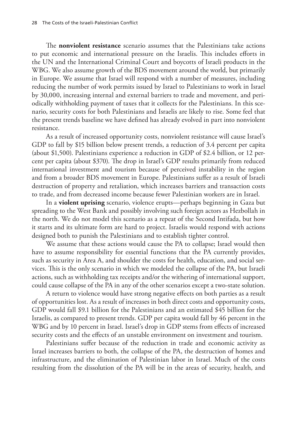The **nonviolent resistance** scenario assumes that the Palestinians take actions to put economic and international pressure on the Israelis. This includes efforts in the UN and the International Criminal Court and boycotts of Israeli products in the WBG. We also assume growth of the BDS movement around the world, but primarily in Europe. We assume that Israel will respond with a number of measures, including reducing the number of work permits issued by Israel to Palestinians to work in Israel by 30,000, increasing internal and external barriers to trade and movement, and periodically withholding payment of taxes that it collects for the Palestinians. In this scenario, security costs for both Palestinians and Israelis are likely to rise. Some feel that the present trends baseline we have defined has already evolved in part into nonviolent resistance.

As a result of increased opportunity costs, nonviolent resistance will cause Israel's GDP to fall by \$15 billion below present trends, a reduction of 3.4 percent per capita (about \$1,500). Palestinians experience a reduction in GDP of \$2.4 billion, or 12 percent per capita (about \$370). The drop in Israel's GDP results primarily from reduced international investment and tourism because of perceived instability in the region and from a broader BDS movement in Europe. Palestinians suffer as a result of Israeli destruction of property and retaliation, which increases barriers and transaction costs to trade, and from decreased income because fewer Palestinian workers are in Israel.

In a **violent uprising** scenario, violence erupts—perhaps beginning in Gaza but spreading to the West Bank and possibly involving such foreign actors as Hezbollah in the north. We do not model this scenario as a repeat of the Second Intifada, but how it starts and its ultimate form are hard to project. Israelis would respond with actions designed both to punish the Palestinians and to establish tighter control.

We assume that these actions would cause the PA to collapse; Israel would then have to assume responsibility for essential functions that the PA currently provides, such as security in Area A, and shoulder the costs for health, education, and social services. This is the only scenario in which we modeled the collapse of the PA, but Israeli actions, such as withholding tax receipts and/or the withering of international support, could cause collapse of the PA in any of the other scenarios except a two-state solution.

A return to violence would have strong negative effects on both parties as a result of opportunities lost. As a result of increases in both direct costs and opportunity costs, GDP would fall \$9.1 billion for the Palestinians and an estimated \$45 billion for the Israelis, as compared to present trends. GDP per capita would fall by 46 percent in the WBG and by 10 percent in Israel. Israel's drop in GDP stems from effects of increased security costs and the effects of an unstable environment on investment and tourism.

Palestinians suffer because of the reduction in trade and economic activity as Israel increases barriers to both, the collapse of the PA, the destruction of homes and infrastructure, and the elimination of Palestinian labor in Israel. Much of the costs resulting from the dissolution of the PA will be in the areas of security, health, and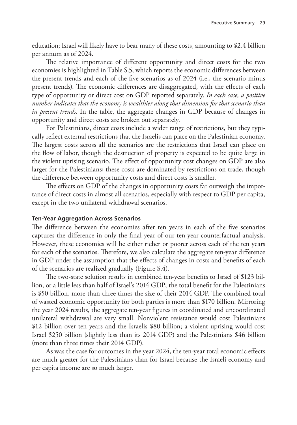education; Israel will likely have to bear many of these costs, amounting to \$2.4 billion per annum as of 2024.

The relative importance of different opportunity and direct costs for the two economies is highlighted in Table S.5, which reports the economic differences between the present trends and each of the five scenarios as of 2024 (i.e., the scenario minus present trends). The economic differences are disaggregated, with the effects of each type of opportunity or direct cost on GDP reported separately. *In each case, a positive number indicates that the economy is wealthier along that dimension for that scenario than in present trends*. In the table, the aggregate changes in GDP because of changes in opportunity and direct costs are broken out separately.

For Palestinians, direct costs include a wider range of restrictions, but they typically reflect external restrictions that the Israelis can place on the Palestinian economy. The largest costs across all the scenarios are the restrictions that Israel can place on the flow of labor, though the destruction of property is expected to be quite large in the violent uprising scenario. The effect of opportunity cost changes on GDP are also larger for the Palestinians; these costs are dominated by restrictions on trade, though the difference between opportunity costs and direct costs is smaller.

The effects on GDP of the changes in opportunity costs far outweigh the importance of direct costs in almost all scenarios, especially with respect to GDP per capita, except in the two unilateral withdrawal scenarios.

#### **Ten-Year Aggregation Across Scenarios**

The difference between the economies after ten years in each of the five scenarios captures the difference in only the final year of our ten-year counterfactual analysis. However, these economies will be either richer or poorer across each of the ten years for each of the scenarios. Therefore, we also calculate the aggregate ten-year difference in GDP under the assumption that the effects of changes in costs and benefits of each of the scenarios are realized gradually (Figure S.4).

The two-state solution results in combined ten-year benefits to Israel of \$123 billion, or a little less than half of Israel's 2014 GDP; the total benefit for the Palestinians is \$50 billion, more than three times the size of their 2014 GDP. The combined total of wasted economic opportunity for both parties is more than \$170 billion. Mirroring the year 2024 results, the aggregate ten-year figures in coordinated and uncoordinated unilateral withdrawal are very small. Nonviolent resistance would cost Palestinians \$12 billion over ten years and the Israelis \$80 billion; a violent uprising would cost Israel \$250 billion (slightly less than its 2014 GDP) and the Palestinians \$46 billion (more than three times their 2014 GDP).

As was the case for outcomes in the year 2024, the ten-year total economic effects are much greater for the Palestinians than for Israel because the Israeli economy and per capita income are so much larger.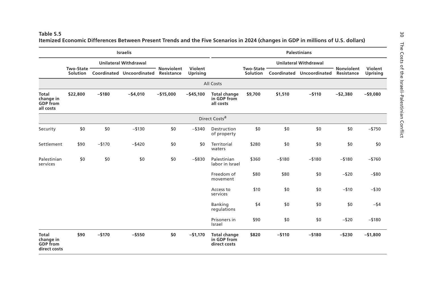|                                                              |                              |         | <b>Israelis</b>              |                                 |                     |                                                    |                       |         | <b>Palestinians</b>          |                                 |                            |
|--------------------------------------------------------------|------------------------------|---------|------------------------------|---------------------------------|---------------------|----------------------------------------------------|-----------------------|---------|------------------------------|---------------------------------|----------------------------|
|                                                              |                              |         | <b>Unilateral Withdrawal</b> |                                 |                     |                                                    |                       |         | <b>Unilateral Withdrawal</b> |                                 |                            |
|                                                              | <b>Two-State</b><br>Solution |         | Coordinated Uncoordinated    | <b>Nonviolent</b><br>Resistance | Violent<br>Uprising |                                                    | Two-State<br>Solution |         | Coordinated Uncoordinated    | <b>Nonviolent</b><br>Resistance | Violent<br><b>Uprising</b> |
|                                                              |                              |         |                              |                                 |                     | <b>All Costs</b>                                   |                       |         |                              |                                 |                            |
| Total<br>change in<br><b>GDP</b> from<br>all costs           | \$22,800                     | $-5180$ | $-54,010$                    | $-515,000$                      | $-545,100$          | <b>Total change</b><br>in GDP from<br>all costs    | \$9,700               | \$1,510 | $-5110$                      | $-52,380$                       | $-59,080$                  |
|                                                              |                              |         |                              |                                 |                     | Direct Costs <sup>a</sup>                          |                       |         |                              |                                 |                            |
| Security                                                     | \$0                          | \$0     | $-$130$                      | \$0                             | $-$ \$340           | Destruction<br>of property                         | \$0                   | \$0     | \$0                          | \$0                             | $-5750$                    |
| Settlement                                                   | \$90                         | $-$170$ | $-$ \$420                    | \$0                             | \$0                 | Territorial<br>waters                              | \$280                 | \$0     | \$0                          | \$0                             | \$0                        |
| Palestinian<br>services                                      | \$0                          | \$0     | \$0                          | \$0                             | $-$ \$830           | Palestinian<br>labor in Israel                     | \$360                 | $-180$  | $-5180$                      | $- $180$                        | $-5760$                    |
|                                                              |                              |         |                              |                                 |                     | Freedom of<br>movement                             | \$80                  | \$80    | \$0                          | $-520$                          | $-$ \$80                   |
|                                                              |                              |         |                              |                                 |                     | Access to<br>services                              | \$10                  | \$0     | \$0                          | $-510$                          | $-$ \$30                   |
|                                                              |                              |         |                              |                                 |                     | <b>Banking</b><br>regulations                      | \$4                   | \$0     | \$0                          | \$0                             | $-54$                      |
|                                                              |                              |         |                              |                                 |                     | Prisoners in<br>Israel                             | \$90                  | \$0     | \$0                          | $-$ \$20                        | $-180$                     |
| <b>Total</b><br>change in<br><b>GDP</b> from<br>direct costs | \$90                         | $-5170$ | $-$ \$550                    | \$0                             | $-51,170$           | <b>Total change</b><br>in GDP from<br>direct costs | \$820                 | $-5110$ | $-5180$                      | $-$ \$230                       | $-51,800$                  |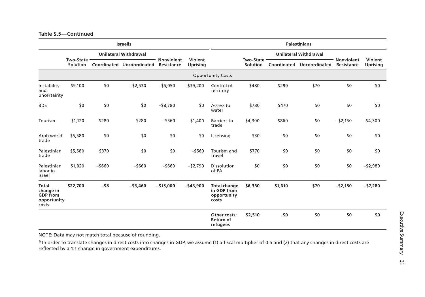| Table S.5-Continued |  |  |  |  |
|---------------------|--|--|--|--|
|---------------------|--|--|--|--|

|                                                                      |                              |                              | <b>Israelis</b>      |                                 |                            |                                                            |                       |             | <b>Palestinians</b> |                                 |                            |
|----------------------------------------------------------------------|------------------------------|------------------------------|----------------------|---------------------------------|----------------------------|------------------------------------------------------------|-----------------------|-------------|---------------------|---------------------------------|----------------------------|
|                                                                      |                              | <b>Unilateral Withdrawal</b> |                      |                                 |                            | <b>Unilateral Withdrawal</b>                               |                       |             |                     |                                 |                            |
|                                                                      | <b>Two-State</b><br>Solution | Coordinated                  | <b>Uncoordinated</b> | <b>Nonviolent</b><br>Resistance | Violent<br><b>Uprising</b> |                                                            | Two-State<br>Solution | Coordinated | Uncoordinated       | <b>Nonviolent</b><br>Resistance | Violent<br><b>Uprising</b> |
|                                                                      |                              |                              |                      |                                 |                            | <b>Opportunity Costs</b>                                   |                       |             |                     |                                 |                            |
| Instability<br>and<br>uncertainty                                    | \$9,100                      | \$0                          | $-$ \$2,530          | $-$ \$5,050                     | $-$ \$39,200               | Control of<br>territory                                    | \$480                 | \$290       | \$70                | \$0                             | \$0                        |
| <b>BDS</b>                                                           | \$0                          | \$0                          | \$0                  | $-$ \$8,780                     | \$0                        | Access to<br>water                                         | \$780                 | \$470       | \$0                 | \$0                             | \$0                        |
| Tourism                                                              | \$1,120                      | \$280                        | $-$ \$280            | $-$ \$560                       | $-$ \$1,400                | <b>Barriers to</b><br>trade                                | \$4,300               | \$860       | \$0                 | $-$ \$2,150                     | $-$ \$4,300                |
| Arab world<br>trade                                                  | \$5,580                      | \$0                          | \$0                  | \$0                             | \$0                        | Licensing                                                  | \$30                  | \$0         | \$0                 | \$0                             | \$0                        |
| Palestinian<br>trade                                                 | \$5,580                      | \$370                        | \$0                  | \$0                             | $-5560$                    | Tourism and<br>travel                                      | \$770                 | \$0         | \$0                 | \$0                             | \$0                        |
| Palestinian<br>labor in<br>Israel                                    | \$1,320                      | $-5660$                      | $-$ \$660            | $-$ \$660                       | $-$ \$2,790                | Dissolution<br>of PA                                       | \$0                   | \$0         | \$0                 | \$0                             | $-$ \$2,980                |
| <b>Total</b><br>change in<br><b>GDP</b> from<br>opportunity<br>costs | \$22,700                     | $-58$                        | $-53,460$            | $-515,000$                      | $-543,900$                 | <b>Total change</b><br>in GDP from<br>opportunity<br>costs | \$6,360               | \$1,610     | \$70                | $-52,150$                       | $-57,280$                  |
|                                                                      |                              |                              |                      |                                 |                            | Other costs:<br><b>Return of</b><br>refugees               | \$2,510               | \$0         | \$0                 | \$0                             | \$0                        |

NOTE: Data may not match total because of rounding.

<sup>a</sup> In order to translate changes in direct costs into changes in GDP, we assume (1) a fiscal multiplier of 0.5 and (2) that any changes in direct costs are reflected by a 1:1 change in government expenditures.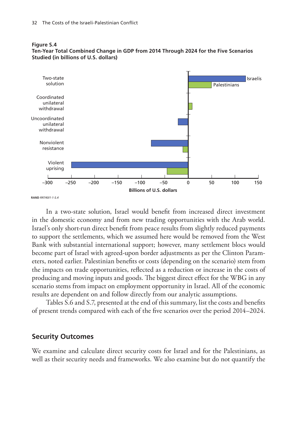



**RAND** *RR740/1-1-S.4*

In a two-state solution, Israel would benefit from increased direct investment in the domestic economy and from new trading opportunities with the Arab world. Israel's only short-run direct benefit from peace results from slightly reduced payments to support the settlements, which we assumed here would be removed from the West Bank with substantial international support; however, many settlement blocs would become part of Israel with agreed-upon border adjustments as per the Clinton Parameters, noted earlier. Palestinian benefits or costs (depending on the scenario) stem from the impacts on trade opportunities, reflected as a reduction or increase in the costs of producing and moving inputs and goods. The biggest direct effect for the WBG in any scenario stems from impact on employment opportunity in Israel. All of the economic results are dependent on and follow directly from our analytic assumptions.

Tables S.6 and S.7, presented at the end of this summary, list the costs and benefits of present trends compared with each of the five scenarios over the period 2014–2024.

#### **Security Outcomes**

We examine and calculate direct security costs for Israel and for the Palestinians, as well as their security needs and frameworks. We also examine but do not quantify the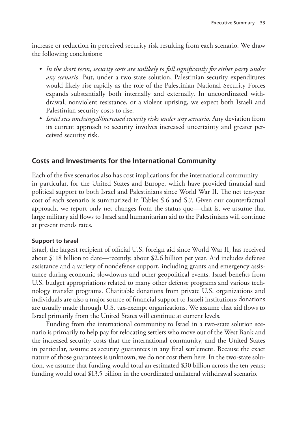increase or reduction in perceived security risk resulting from each scenario. We draw the following conclusions:

- *• In the short term, security costs are unlikely to fall significantly for either party under any scenario.* But, under a two-state solution, Palestinian security expenditures would likely rise rapidly as the role of the Palestinian National Security Forces expands substantially both internally and externally. In uncoordinated withdrawal, nonviolent resistance, or a violent uprising, we expect both Israeli and Palestinian security costs to rise.
- *• Israel sees unchanged/increased security risks under any scenario.* Any deviation from its current approach to security involves increased uncertainty and greater perceived security risk.

#### **Costs and Investments for the International Community**

Each of the five scenarios also has cost implications for the international community in particular, for the United States and Europe, which have provided financial and political support to both Israel and Palestinians since World War II. The net ten-year cost of each scenario is summarized in Tables S.6 and S.7. Given our counterfactual approach, we report only net changes from the status quo—that is, we assume that large military aid flows to Israel and humanitarian aid to the Palestinians will continue at present trends rates.

#### **Support to Israel**

Israel, the largest recipient of official U.S. foreign aid since World War II, has received about \$118 billion to date—recently, about \$2.6 billion per year. Aid includes defense assistance and a variety of nondefense support, including grants and emergency assistance during economic slowdowns and other geopolitical events. Israel benefits from U.S. budget appropriations related to many other defense programs and various technology transfer programs. Charitable donations from private U.S. organizations and individuals are also a major source of financial support to Israeli institutions;donations are usually made through U.S. tax-exempt organizations. We assume that aid flows to Israel primarily from the United States will continue at current levels.

Funding from the international community to Israel in a two-state solution scenario is primarily to help pay for relocating settlers who move out of the West Bank and the increased security costs that the international community, and the United States in particular, assume as security guarantees in any final settlement. Because the exact nature of those guarantees is unknown, we do not cost them here. In the two-state solution, we assume that funding would total an estimated \$30 billion across the ten years; funding would total \$13.5 billion in the coordinated unilateral withdrawal scenario.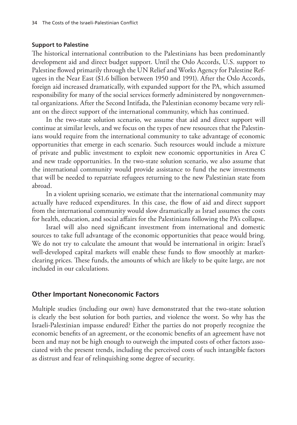#### **Support to Palestine**

The historical international contribution to the Palestinians has been predominantly development aid and direct budget support. Until the Oslo Accords, U.S. support to Palestine flowed primarily through the UN Relief and Works Agency for Palestine Refugees in the Near East (\$1.6 billion between 1950 and 1991). After the Oslo Accords, foreign aid increased dramatically, with expanded support for the PA, which assumed responsibility for many of the social services formerly administered by nongovernmental organizations. After the Second Intifada, the Palestinian economy became very reliant on the direct support of the international community, which has continued.

In the two-state solution scenario, we assume that aid and direct support will continue at similar levels, and we focus on the types of new resources that the Palestinians would require from the international community to take advantage of economic opportunities that emerge in each scenario. Such resources would include a mixture of private and public investment to exploit new economic opportunities in Area C and new trade opportunities. In the two-state solution scenario, we also assume that the international community would provide assistance to fund the new investments that will be needed to repatriate refugees returning to the new Palestinian state from abroad.

In a violent uprising scenario, we estimate that the international community may actually have reduced expenditures. In this case, the flow of aid and direct support from the international community would slow dramatically as Israel assumes the costs for health, education, and social affairs for the Palestinians following the PA's collapse.

Israel will also need significant investment from international and domestic sources to take full advantage of the economic opportunities that peace would bring. We do not try to calculate the amount that would be international in origin: Israel's well-developed capital markets will enable these funds to flow smoothly at marketclearing prices. These funds, the amounts of which are likely to be quite large, are not included in our calculations.

### **Other Important Noneconomic Factors**

Multiple studies (including our own) have demonstrated that the two-state solution is clearly the best solution for both parties, and violence the worst. So why has the Israeli-Palestinian impasse endured? Either the parties do not properly recognize the economic benefits of an agreement, or the economic benefits of an agreement have not been and may not be high enough to outweigh the imputed costs of other factors associated with the present trends, including the perceived costs of such intangible factors as distrust and fear of relinquishing some degree of security.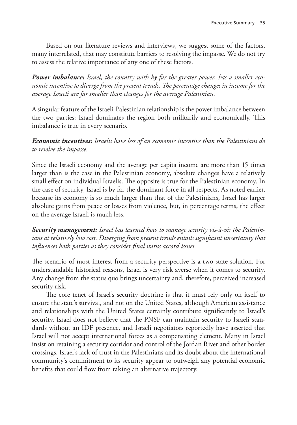Based on our literature reviews and interviews, we suggest some of the factors, many interrelated, that may constitute barriers to resolving the impasse. We do not try to assess the relative importance of any one of these factors.

*Power imbalance: Israel, the country with by far the greater power, has a smaller economic incentive to diverge from the present trends. The percentage changes in income for the average Israeli are far smaller than changes for the average Palestinian.*

A singular feature of the Israeli-Palestinian relationship is the power imbalance between the two parties: Israel dominates the region both militarily and economically. This imbalance is true in every scenario.

*Economic incentives: Israelis have less of an economic incentive than the Palestinians do to resolve the impasse.*

Since the Israeli economy and the average per capita income are more than 15 times larger than is the case in the Palestinian economy, absolute changes have a relatively small effect on individual Israelis. The opposite is true for the Palestinian economy. In the case of security, Israel is by far the dominant force in all respects. As noted earlier, because its economy is so much larger than that of the Palestinians, Israel has larger absolute gains from peace or losses from violence, but, in percentage terms, the effect on the average Israeli is much less.

*Security management: Israel has learned how to manage security vis-à-vis the Palestinians at relatively low cost. Diverging from present trends entails significant uncertainty that influences both parties as they consider final status accord issues.* 

The scenario of most interest from a security perspective is a two-state solution. For understandable historical reasons, Israel is very risk averse when it comes to security. Any change from the status quo brings uncertainty and, therefore, perceived increased security risk.

The core tenet of Israel's security doctrine is that it must rely only on itself to ensure the state's survival, and not on the United States, although American assistance and relationships with the United States certainly contribute significantly to Israel's security. Israel does not believe that the PNSF can maintain security to Israeli standards without an IDF presence, and Israeli negotiators reportedly have asserted that Israel will not accept international forces as a compensating element. Many in Israel insist on retaining a security corridor and control of the Jordan River and other border crossings. Israel's lack of trust in the Palestinians and its doubt about the international community's commitment to its security appear to outweigh any potential economic benefits that could flow from taking an alternative trajectory.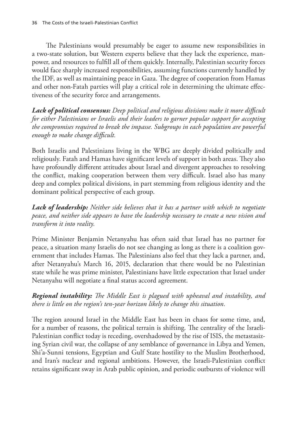The Palestinians would presumably be eager to assume new responsibilities in a two-state solution, but Western experts believe that they lack the experience, manpower, and resources to fulfill all of them quickly. Internally, Palestinian security forces would face sharply increased responsibilities, assuming functions currently handled by the IDF, as well as maintaining peace in Gaza. The degree of cooperation from Hamas and other non-Fatah parties will play a critical role in determining the ultimate effectiveness of the security force and arrangements.

*Lack of political consensus: Deep political and religious divisions make it more difficult for either Palestinians or Israelis and their leaders to garner popular support for accepting the compromises required to break the impasse. Subgroups in each population are powerful enough to make change difficult.*

Both Israelis and Palestinians living in the WBG are deeply divided politically and religiously. Fatah and Hamas have significant levels of support in both areas. They also have profoundly different attitudes about Israel and divergent approaches to resolving the conflict, making cooperation between them very difficult. Israel also has many deep and complex political divisions, in part stemming from religious identity and the dominant political perspective of each group.

*Lack of leadership: Neither side believes that it has a partner with which to negotiate peace, and neither side appears to have the leadership necessary to create a new vision and transform it into reality.*

Prime Minister Benjamin Netanyahu has often said that Israel has no partner for peace, a situation many Israelis do not see changing as long as there is a coalition government that includes Hamas. The Palestinians also feel that they lack a partner, and, after Netanyahu's March 16, 2015, declaration that there would be no Palestinian state while he was prime minister, Palestinians have little expectation that Israel under Netanyahu will negotiate a final status accord agreement.

*Regional instability: The Middle East is plagued with upheaval and instability, and there is little on the region's ten-year horizon likely to change this situation.*

The region around Israel in the Middle East has been in chaos for some time, and, for a number of reasons, the political terrain is shifting. The centrality of the Israeli-Palestinian conflict today is receding, overshadowed by the rise of ISIS, the metastasizing Syrian civil war, the collapse of any semblance of governance in Libya and Yemen, Shi'a-Sunni tensions, Egyptian and Gulf State hostility to the Muslim Brotherhood, and Iran's nuclear and regional ambitions. However, the Israeli-Palestinian conflict retains significant sway in Arab public opinion, and periodic outbursts of violence will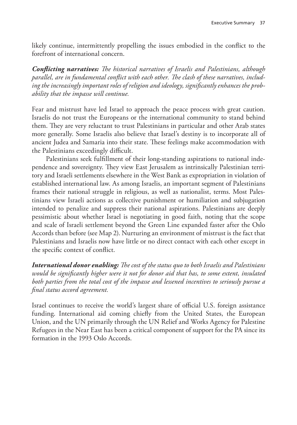likely continue, intermittently propelling the issues embodied in the conflict to the forefront of international concern.

*Conflicting narratives: The historical narratives of Israelis and Palestinians, although parallel, are in fundamental conflict with each other. The clash of these narratives, including the increasingly important roles of religion and ideology, significantly enhances the probability that the impasse will continue.*

Fear and mistrust have led Israel to approach the peace process with great caution. Israelis do not trust the Europeans or the international community to stand behind them. They are very reluctant to trust Palestinians in particular and other Arab states more generally. Some Israelis also believe that Israel's destiny is to incorporate all of ancient Judea and Samaria into their state. These feelings make accommodation with the Palestinians exceedingly difficult.

Palestinians seek fulfillment of their long-standing aspirations to national independence and sovereignty. They view East Jerusalem as intrinsically Palestinian territory and Israeli settlements elsewhere in the West Bank as expropriation in violation of established international law. As among Israelis, an important segment of Palestinians frames their national struggle in religious, as well as nationalist, terms. Most Palestinians view Israeli actions as collective punishment or humiliation and subjugation intended to penalize and suppress their national aspirations. Palestinians are deeply pessimistic about whether Israel is negotiating in good faith, noting that the scope and scale of Israeli settlement beyond the Green Line expanded faster after the Oslo Accords than before (see Map 2). Nurturing an environment of mistrust is the fact that Palestinians and Israelis now have little or no direct contact with each other except in the specific context of conflict.

*International donor enabling: The cost of the status quo to both Israelis and Palestinians would be significantly higher were it not for donor aid that has, to some extent, insulated both parties from the total cost of the impasse and lessened incentives to seriously pursue a final status accord agreement.*

Israel continues to receive the world's largest share of official U.S. foreign assistance funding. International aid coming chiefly from the United States, the European Union, and the UN primarily through the UN Relief and Works Agency for Palestine Refugees in the Near East has been a critical component of support for the PA since its formation in the 1993 Oslo Accords.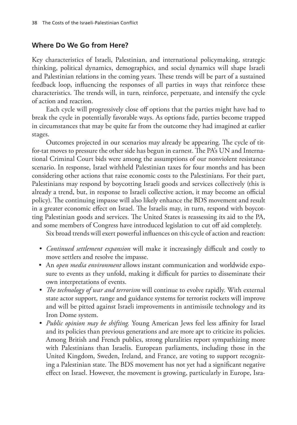### **Where Do We Go from Here?**

Key characteristics of Israeli, Palestinian, and international policymaking, strategic thinking, political dynamics, demographics, and social dynamics will shape Israeli and Palestinian relations in the coming years. These trends will be part of a sustained feedback loop, influencing the responses of all parties in ways that reinforce these characteristics. The trends will, in turn, reinforce, perpetuate, and intensify the cycle of action and reaction.

Each cycle will progressively close off options that the parties might have had to break the cycle in potentially favorable ways. As options fade, parties become trapped in circumstances that may be quite far from the outcome they had imagined at earlier stages.

Outcomes projected in our scenarios may already be appearing. The cycle of titfor-tat moves to pressure the other side has begun in earnest. The PA's UN and International Criminal Court bids were among the assumptions of our nonviolent resistance scenario. In response, Israel withheld Palestinian taxes for four months and has been considering other actions that raise economic costs to the Palestinians. For their part, Palestinians may respond by boycotting Israeli goods and services collectively (this is already a trend, but, in response to Israeli collective action, it may become an official policy). The continuing impasse will also likely enhance the BDS movement and result in a greater economic effect on Israel. The Israelis may, in turn, respond with boycotting Palestinian goods and services. The United States is reassessing its aid to the PA, and some members of Congress have introduced legislation to cut off aid completely.

Six broad trends will exert powerful influences on this cycle of action and reaction:

- *• Continued settlement expansion* will make it increasingly difficult and costly to move settlers and resolve the impasse.
- An *open media environment* allows instant communication and worldwide exposure to events as they unfold, making it difficult for parties to disseminate their own interpretations of events.
- *• The technology of war and terrorism* will continue to evolve rapidly. With external state actor support, range and guidance systems for terrorist rockets will improve and will be pitted against Israeli improvements in antimissile technology and its Iron Dome system.
- *• Public opinion may be shifting.* Young American Jews feel less affinity for Israel and its policies than previous generations and are more apt to criticize its policies. Among British and French publics, strong pluralities report sympathizing more with Palestinians than Israelis. European parliaments, including those in the United Kingdom, Sweden, Ireland, and France, are voting to support recognizing a Palestinian state. The BDS movement has not yet had a significant negative effect on Israel. However, the movement is growing, particularly in Europe, Isra-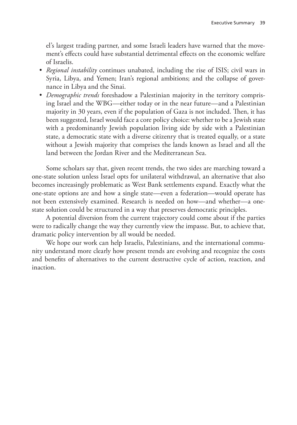el's largest trading partner, and some Israeli leaders have warned that the movement's effects could have substantial detrimental effects on the economic welfare of Israelis.

- *• Regional instability* continues unabated, including the rise of ISIS; civil wars in Syria, Libya, and Yemen; Iran's regional ambitions; and the collapse of governance in Libya and the Sinai.
- *• Demographic trends* foreshadow a Palestinian majority in the territory comprising Israel and the WBG—either today or in the near future—and a Palestinian majority in 30 years, even if the population of Gaza is not included. Then, it has been suggested, Israel would face a core policy choice: whether to be a Jewish state with a predominantly Jewish population living side by side with a Palestinian state, a democratic state with a diverse citizenry that is treated equally, or a state without a Jewish majority that comprises the lands known as Israel and all the land between the Jordan River and the Mediterranean Sea.

Some scholars say that, given recent trends, the two sides are marching toward a one-state solution unless Israel opts for unilateral withdrawal, an alternative that also becomes increasingly problematic as West Bank settlements expand. Exactly what the one-state options are and how a single state—even a federation—would operate has not been extensively examined. Research is needed on how—and whether—a onestate solution could be structured in a way that preserves democratic principles.

A potential diversion from the current trajectory could come about if the parties were to radically change the way they currently view the impasse. But, to achieve that, dramatic policy intervention by all would be needed.

We hope our work can help Israelis, Palestinians, and the international community understand more clearly how present trends are evolving and recognize the costs and benefits of alternatives to the current destructive cycle of action, reaction, and inaction.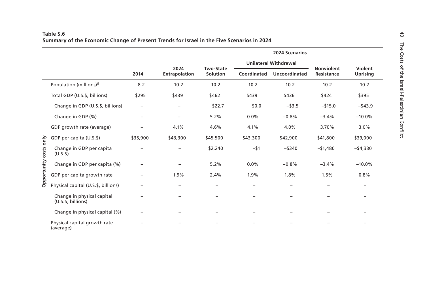|                                                      |                          |                              |                          |                              | <b>2024 Scenarios</b>    |                                 |                 |
|------------------------------------------------------|--------------------------|------------------------------|--------------------------|------------------------------|--------------------------|---------------------------------|-----------------|
|                                                      | 2014                     | 2024<br><b>Extrapolation</b> | <b>Two-State</b>         | <b>Unilateral Withdrawal</b> |                          |                                 | Violent         |
|                                                      |                          |                              | <b>Solution</b>          | Coordinated                  | Uncoordinated            | <b>Nonviolent</b><br>Resistance | <b>Uprising</b> |
| Population (millions) <sup>a</sup>                   | 8.2                      | 10.2                         | 10.2                     | 10.2                         | 10.2                     | 10.2                            | 10.2            |
| Total GDP (U.S.\$, billions)                         | \$295                    | \$439                        | \$462                    | \$439                        | \$436                    | \$424                           | \$395           |
| Change in GDP (U.S.\$, billions)                     | $\qquad \qquad -$        | $\overline{\phantom{0}}$     | \$22.7                   | \$0.0                        | $-$ \$3.5                | $-$ \$15.0                      | $-$ \$43.9      |
| Change in GDP (%)                                    | $\overline{\phantom{0}}$ | L.                           | 5.2%                     | 0.0%                         | $-0.8%$                  | $-3.4%$                         | $-10.0%$        |
| GDP growth rate (average)                            |                          | 4.1%                         | 4.6%                     | 4.1%                         | 4.0%                     | 3.70%                           | 3.0%            |
| GDP per capita (U.S.\$)                              | \$35,900                 | \$43,300                     | \$45,500                 | \$43,300                     | \$42,900                 | \$41,800                        | \$39,000        |
| Change in GDP per capita<br>$(U.S.$ \$)              |                          |                              | \$2,240                  | $-51$                        | $-$ \$340                | $-1,480$                        | $-$ \$4,330     |
| Change in GDP per capita (%)                         | $\qquad \qquad -$        |                              | 5.2%                     | $0.0\%$                      | $-0.8%$                  | $-3.4%$                         | $-10.0%$        |
| Opportunity costs only<br>GDP per capita growth rate |                          | 1.9%                         | 2.4%                     | 1.9%                         | 1.8%                     | 1.5%                            | 0.8%            |
| Physical capital (U.S.\$, billions)                  | $\qquad \qquad -$        | $\overline{\phantom{m}}$     | $\overline{\phantom{m}}$ |                              | -                        | $\overline{\phantom{m}}$        |                 |
| Change in physical capital<br>$(U.S.\$ \$, billions) | $\overline{\phantom{0}}$ | $\overline{\phantom{m}}$     | $\qquad \qquad -$        |                              | $\overline{\phantom{0}}$ | $\overline{\phantom{0}}$        |                 |
| Change in physical capital (%)                       | $\qquad \qquad -$        | $\qquad \qquad -$            | $\overline{\phantom{m}}$ |                              |                          | $\qquad \qquad -$               |                 |
| Physical capital growth rate<br>(average)            |                          |                              |                          |                              |                          |                                 |                 |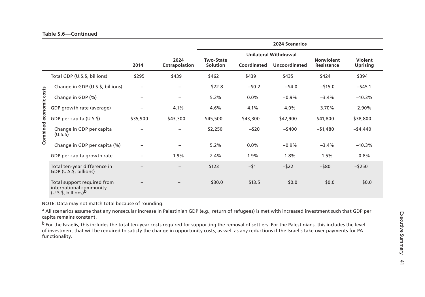#### **Table S.6—Continued**

|                         |                                                                                               |                          |                          |                  |             | 2024 Scenarios               |                   |                 |
|-------------------------|-----------------------------------------------------------------------------------------------|--------------------------|--------------------------|------------------|-------------|------------------------------|-------------------|-----------------|
|                         |                                                                                               |                          | 2024                     | <b>Two-State</b> |             | <b>Unilateral Withdrawal</b> | <b>Nonviolent</b> | Violent         |
|                         |                                                                                               | 2014                     | <b>Extrapolation</b>     | Solution         | Coordinated | Uncoordinated                | Resistance        | <b>Uprising</b> |
|                         | Total GDP (U.S.\$, billions)                                                                  | \$295                    | \$439                    | \$462            | \$439       | \$435                        | \$424             | \$394           |
|                         | Change in GDP (U.S.\$, billions)                                                              | $\overline{\phantom{0}}$ | $\overline{\phantom{0}}$ | \$22.8           | $-50.2$     | $-$ \$4.0                    | $-$ \$15.0        | $-$ \$45.1      |
|                         | Change in GDP (%)                                                                             | $\overline{\phantom{0}}$ | $\qquad \qquad -$        | 5.2%             | $0.0\%$     | $-0.9%$                      | $-3.4%$           | $-10.3%$        |
|                         | GDP growth rate (average)                                                                     |                          | 4.1%                     | 4.6%             | 4.1%        | 4.0%                         | 3.70%             | 2.90%           |
|                         | GDP per capita (U.S.\$)                                                                       | \$35,900                 | \$43,300                 | \$45,500         | \$43,300    | \$42,900                     | \$41,800          | \$38,800        |
| Combined economic costs | Change in GDP per capita<br>$(U.S.$ \$)                                                       |                          |                          | \$2,250          | $-$ \$20    | $-$ \$400                    | $-1,480$          | $-$ \$4,440     |
|                         | Change in GDP per capita (%)                                                                  | $\overline{\phantom{0}}$ | $\overline{\phantom{0}}$ | 5.2%             | $0.0\%$     | $-0.9%$                      | $-3.4%$           | $-10.3%$        |
|                         | GDP per capita growth rate                                                                    |                          | 1.9%                     | 2.4%             | 1.9%        | 1.8%                         | 1.5%              | 0.8%            |
|                         | Total ten-year difference in<br>GDP (U.S.\$, billions)                                        |                          | -                        | \$123            | $-51$       | $-$ \$22                     | $-$ \$80          | $-$ \$250       |
|                         | Total support required from<br>international community<br>$(U.S.\$ \$, billions) <sup>b</sup> |                          |                          | \$30.0           | \$13.5      | \$0.0                        | \$0.0             | \$0.0           |

NOTE: Data may not match total because of rounding.

<sup>a</sup> All scenarios assume that any nonsecular increase in Palestinian GDP (e.g., return of refugees) is met with increased investment such that GDP per capita remains constant.

b For the Israelis, this includes the total ten-year costs required for supporting the removal of settlers. For the Palestinians, this includes the level of investment that will be required to satisfy the change in opportunity costs, as well as any reductions if the Israelis take over payments for PA functionality.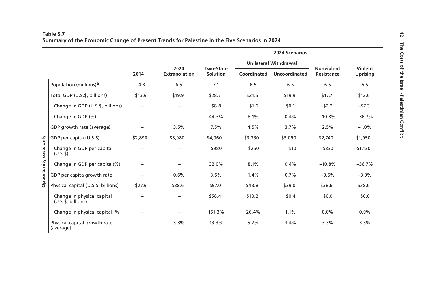|                                                      |                          |                              |                              |                              | <b>2024 Scenarios</b> |                                 |                 |
|------------------------------------------------------|--------------------------|------------------------------|------------------------------|------------------------------|-----------------------|---------------------------------|-----------------|
|                                                      | 2014                     | 2024<br><b>Extrapolation</b> |                              | <b>Unilateral Withdrawal</b> |                       |                                 | <b>Violent</b>  |
|                                                      |                          |                              | <b>Two-State</b><br>Solution | Coordinated                  | Uncoordinated         | <b>Nonviolent</b><br>Resistance | <b>Uprising</b> |
| Population (millions) <sup>a</sup>                   | 4.8                      | 6.5                          | 7.1                          | 6.5                          | 6.5                   | 6.5                             | 6.5             |
| Total GDP (U.S.\$, billions)                         | \$13.9                   | \$19.9                       | \$28.7                       | \$21.5                       | \$19.9                | \$17.7                          | \$12.6          |
| Change in GDP (U.S.\$, billions)                     | -                        |                              | \$8.8                        | \$1.6                        | \$0.1                 | $-$ \$2.2                       | $-57.3$         |
| Change in GDP (%)                                    | -                        | $\overline{\phantom{0}}$     | 44.3%                        | 8.1%                         | 0.4%                  | $-10.8%$                        | $-36.7%$        |
| GDP growth rate (average)                            |                          | 3.6%                         | 7.5%                         | 4.5%                         | 3.7%                  | 2.5%                            | $-1.0%$         |
| GDP per capita (U.S.\$)                              | \$2,890                  | \$3,080                      | \$4,060                      | \$3,330                      | \$3,090               | \$2,740                         | \$1,950         |
| Change in GDP per capita<br>$(U.S.$ \$)              |                          |                              | \$980                        | \$250                        | \$10                  | $-$ \$330                       | $-1,130$        |
| Change in GDP per capita (%)                         | $\qquad \qquad -$        |                              | 32.0%                        | 8.1%                         | 0.4%                  | $-10.8%$                        | $-36.7%$        |
| Opportunity costs only<br>GDP per capita growth rate | $\overline{\phantom{0}}$ | 0.6%                         | 3.5%                         | 1.4%                         | 0.7%                  | $-0.5%$                         | $-3.9%$         |
| Physical capital (U.S.\$, billions)                  | \$27.9                   | \$38.6                       | \$97.0                       | \$48.8                       | \$39.0                | \$38.6                          | \$38.6          |
| Change in physical capital<br>$(U.S.\$ \$, billions) |                          |                              | \$58.4                       | \$10.2                       | \$0.4                 | \$0.0                           | \$0.0           |
| Change in physical capital (%)                       | $\qquad \qquad -$        |                              | 151.3%                       | 26.4%                        | 1.1%                  | $0.0\%$                         | 0.0%            |
| Physical capital growth rate<br>(average)            |                          | 3.3%                         | 13.3%                        | 5.7%                         | 3.4%                  | 3.3%                            | 3.3%            |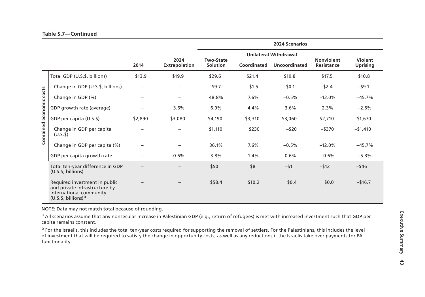#### **Table S.7—Continued**

|                         |                                                                                                                                  |                          |                              |                              |             | 2024 Scenarios               |                                        |                 |
|-------------------------|----------------------------------------------------------------------------------------------------------------------------------|--------------------------|------------------------------|------------------------------|-------------|------------------------------|----------------------------------------|-----------------|
|                         |                                                                                                                                  |                          |                              |                              |             | <b>Unilateral Withdrawal</b> |                                        | Violent         |
|                         |                                                                                                                                  | 2014                     | 2024<br><b>Extrapolation</b> | <b>Two-State</b><br>Solution | Coordinated | Uncoordinated                | <b>Nonviolent</b><br><b>Resistance</b> | <b>Uprising</b> |
|                         | Total GDP (U.S.\$, billions)                                                                                                     | \$13.9                   | \$19.9                       | \$29.6                       | \$21.4      | \$19.8                       | \$17.5                                 | \$10.8          |
|                         | Change in GDP (U.S.\$, billions)                                                                                                 | $\overline{\phantom{0}}$ |                              | \$9.7                        | \$1.5       | $-$0.1$                      | $-$ \$2.4                              | $-$ \$9.1       |
|                         | Change in GDP (%)                                                                                                                | $\overline{\phantom{0}}$ | $\overline{\phantom{0}}$     | 48.8%                        | 7.6%        | $-0.5%$                      | $-12.0%$                               | $-45.7%$        |
|                         | GDP growth rate (average)                                                                                                        | $\overline{\phantom{0}}$ | 3.6%                         | 6.9%                         | 4.4%        | 3.6%                         | 2.3%                                   | $-2.5%$         |
|                         | GDP per capita (U.S.\$)                                                                                                          | \$2,890                  | \$3,080                      | \$4,190                      | \$3,310     | \$3,060                      | \$2,710                                | \$1,670         |
| Combined economic costs | Change in GDP per capita<br>$(U.S.$ \$)                                                                                          |                          | $\overline{\phantom{0}}$     | \$1,110                      | \$230       | $-520$                       | $-$ \$370                              | $-1,410$        |
|                         | Change in GDP per capita (%)                                                                                                     |                          |                              | 36.1%                        | 7.6%        | $-0.5%$                      | $-12.0%$                               | $-45.7%$        |
|                         | GDP per capita growth rate                                                                                                       |                          | 0.6%                         | 3.8%                         | 1.4%        | 0.6%                         | $-0.6%$                                | $-5.3%$         |
|                         | Total ten-year difference in GDP<br>(U.S.\$, billions)                                                                           |                          |                              | \$50                         | \$8         | $-51$                        | $-112$                                 | $-$ \$46        |
|                         | Required investment in public<br>and private infrastructure by<br>international community<br>$(U.S.\$ \$, billions) <sup>b</sup> |                          |                              | \$58.4                       | \$10.2      | \$0.4                        | \$0.0                                  | $-$16.7$        |

NOTE: Data may not match total because of rounding.

<sup>a</sup> All scenarios assume that any nonsecular increase in Palestinian GDP (e.g., return of refugees) is met with increased investment such that GDP per capita remains constant.

b For the Israelis, this includes the total ten-year costs required for supporting the removal of settlers. For the Palestinians, this includes the level of investment that will be required to satisfy the change in opportunity costs, as well as any reductions if the Israelis take over payments for PA functionality.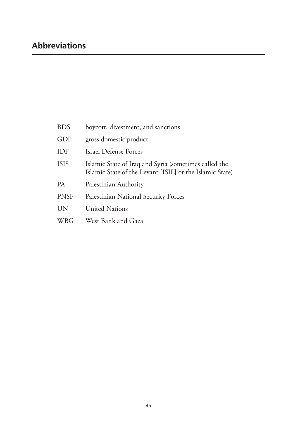# **Abbreviations**

| <b>BDS</b>  | boycott, divestment, and sanctions                                                                                |
|-------------|-------------------------------------------------------------------------------------------------------------------|
| GDP         | gross domestic product                                                                                            |
| IDF         | Israel Defense Forces                                                                                             |
| <b>ISIS</b> | Islamic State of Iraq and Syria (sometimes called the<br>Islamic State of the Levant [ISIL] or the Islamic State) |
| PA.         | Palestinian Authority                                                                                             |
| <b>PNSF</b> | Palestinian National Security Forces                                                                              |
| UN          | <b>United Nations</b>                                                                                             |
| WBG         | West Bank and Gaza                                                                                                |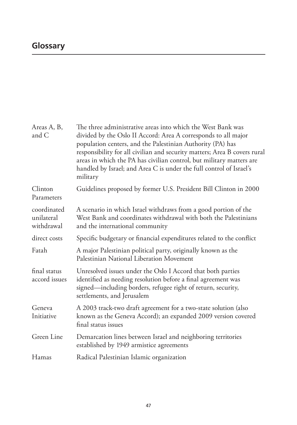# **Glossary**

| Areas A, B,<br>and C                    | The three administrative areas into which the West Bank was<br>divided by the Oslo II Accord: Area A corresponds to all major<br>population centers, and the Palestinian Authority (PA) has<br>responsibility for all civilian and security matters; Area B covers rural<br>areas in which the PA has civilian control, but military matters are<br>handled by Israel; and Area C is under the full control of Israel's<br>military |
|-----------------------------------------|-------------------------------------------------------------------------------------------------------------------------------------------------------------------------------------------------------------------------------------------------------------------------------------------------------------------------------------------------------------------------------------------------------------------------------------|
| Clinton<br>Parameters                   | Guidelines proposed by former U.S. President Bill Clinton in 2000                                                                                                                                                                                                                                                                                                                                                                   |
| coordinated<br>unilateral<br>withdrawal | A scenario in which Israel withdraws from a good portion of the<br>West Bank and coordinates withdrawal with both the Palestinians<br>and the international community                                                                                                                                                                                                                                                               |
| direct costs                            | Specific budgetary or financial expenditures related to the conflict                                                                                                                                                                                                                                                                                                                                                                |
| Fatah                                   | A major Palestinian political party, originally known as the<br>Palestinian National Liberation Movement                                                                                                                                                                                                                                                                                                                            |
| final status<br>accord issues           | Unresolved issues under the Oslo I Accord that both parties<br>identified as needing resolution before a final agreement was<br>signed—including borders, refugee right of return, security,<br>settlements, and Jerusalem                                                                                                                                                                                                          |
| Geneva<br>Initiative                    | A 2003 track-two draft agreement for a two-state solution (also<br>known as the Geneva Accord); an expanded 2009 version covered<br>final status issues                                                                                                                                                                                                                                                                             |
| Green Line                              | Demarcation lines between Israel and neighboring territories<br>established by 1949 armistice agreements                                                                                                                                                                                                                                                                                                                            |
| Hamas                                   | Radical Palestinian Islamic organization                                                                                                                                                                                                                                                                                                                                                                                            |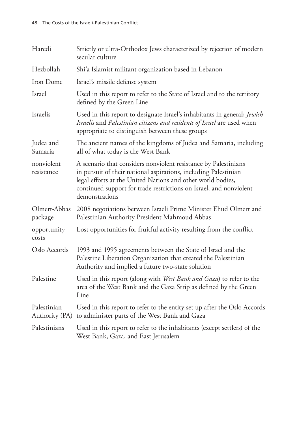| Haredi                        | Strictly or ultra-Orthodox Jews characterized by rejection of modern<br>secular culture                                                                                                                                                                                                   |
|-------------------------------|-------------------------------------------------------------------------------------------------------------------------------------------------------------------------------------------------------------------------------------------------------------------------------------------|
| Hezbollah                     | Shi'a Islamist militant organization based in Lebanon                                                                                                                                                                                                                                     |
| Iron Dome                     | Israel's missile defense system                                                                                                                                                                                                                                                           |
| Israel                        | Used in this report to refer to the State of Israel and to the territory<br>defined by the Green Line                                                                                                                                                                                     |
| Israelis                      | Used in this report to designate Israel's inhabitants in general; Jewish<br>Israelis and Palestinian citizens and residents of Israel are used when<br>appropriate to distinguish between these groups                                                                                    |
| Judea and<br>Samaria          | The ancient names of the kingdoms of Judea and Samaria, including<br>all of what today is the West Bank                                                                                                                                                                                   |
| nonviolent<br>resistance      | A scenario that considers nonviolent resistance by Palestinians<br>in pursuit of their national aspirations, including Palestinian<br>legal efforts at the United Nations and other world bodies,<br>continued support for trade restrictions on Israel, and nonviolent<br>demonstrations |
| Olmert-Abbas<br>package       | 2008 negotiations between Israeli Prime Minister Ehud Olmert and<br>Palestinian Authority President Mahmoud Abbas                                                                                                                                                                         |
| opportunity<br>costs          | Lost opportunities for fruitful activity resulting from the conflict                                                                                                                                                                                                                      |
| Oslo Accords                  | 1993 and 1995 agreements between the State of Israel and the<br>Palestine Liberation Organization that created the Palestinian<br>Authority and implied a future two-state solution                                                                                                       |
| Palestine                     | Used in this report (along with West Bank and Gaza) to refer to the<br>area of the West Bank and the Gaza Strip as defined by the Green<br>Line                                                                                                                                           |
| Palestinian<br>Authority (PA) | Used in this report to refer to the entity set up after the Oslo Accords<br>to administer parts of the West Bank and Gaza                                                                                                                                                                 |
| Palestinians                  | Used in this report to refer to the inhabitants (except settlers) of the<br>West Bank, Gaza, and East Jerusalem                                                                                                                                                                           |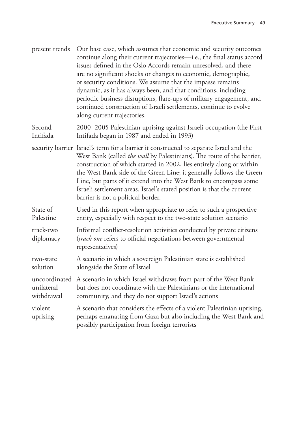| present trends           | Our base case, which assumes that economic and security outcomes<br>continue along their current trajectories-i.e., the final status accord<br>issues defined in the Oslo Accords remain unresolved, and there<br>are no significant shocks or changes to economic, demographic,<br>or security conditions. We assume that the impasse remains<br>dynamic, as it has always been, and that conditions, including<br>periodic business disruptions, flare-ups of military engagement, and<br>continued construction of Israeli settlements, continue to evolve<br>along current trajectories. |
|--------------------------|----------------------------------------------------------------------------------------------------------------------------------------------------------------------------------------------------------------------------------------------------------------------------------------------------------------------------------------------------------------------------------------------------------------------------------------------------------------------------------------------------------------------------------------------------------------------------------------------|
| Second<br>Intifada       | 2000–2005 Palestinian uprising against Israeli occupation (the First<br>Intifada began in 1987 and ended in 1993)                                                                                                                                                                                                                                                                                                                                                                                                                                                                            |
|                          | security barrier Israel's term for a barrier it constructed to separate Israel and the<br>West Bank (called the wall by Palestinians). The route of the barrier,<br>construction of which started in 2002, lies entirely along or within<br>the West Bank side of the Green Line; it generally follows the Green<br>Line, but parts of it extend into the West Bank to encompass some<br>Israeli settlement areas. Israel's stated position is that the current<br>barrier is not a political border.                                                                                        |
| State of<br>Palestine    | Used in this report when appropriate to refer to such a prospective<br>entity, especially with respect to the two-state solution scenario                                                                                                                                                                                                                                                                                                                                                                                                                                                    |
| track-two<br>diplomacy   | Informal conflict-resolution activities conducted by private citizens<br>(track one refers to official negotiations between governmental<br>representatives)                                                                                                                                                                                                                                                                                                                                                                                                                                 |
| two-state<br>solution    | A scenario in which a sovereign Palestinian state is established<br>alongside the State of Israel                                                                                                                                                                                                                                                                                                                                                                                                                                                                                            |
| unilateral<br>withdrawal | uncoordinated A scenario in which Israel withdraws from part of the West Bank<br>but does not coordinate with the Palestinians or the international<br>community, and they do not support Israel's actions                                                                                                                                                                                                                                                                                                                                                                                   |
| violent<br>uprising      | A scenario that considers the effects of a violent Palestinian uprising,<br>perhaps emanating from Gaza but also including the West Bank and<br>possibly participation from foreign terrorists                                                                                                                                                                                                                                                                                                                                                                                               |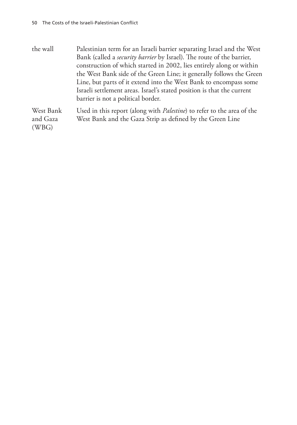| the wall | Palestinian term for an Israeli barrier separating Israel and the West       |
|----------|------------------------------------------------------------------------------|
|          | Bank (called a <i>security barrier</i> by Israel). The route of the barrier, |
|          | construction of which started in 2002, lies entirely along or within         |
|          | the West Bank side of the Green Line; it generally follows the Green         |
|          | Line, but parts of it extend into the West Bank to encompass some            |
|          | Israeli settlement areas. Israel's stated position is that the current       |
|          | barrier is not a political border.                                           |
|          |                                                                              |

West Bank and Gaza (WBG) Used in this report (along with *Palestine*) to refer to the area of the West Bank and the Gaza Strip as defined by the Green Line